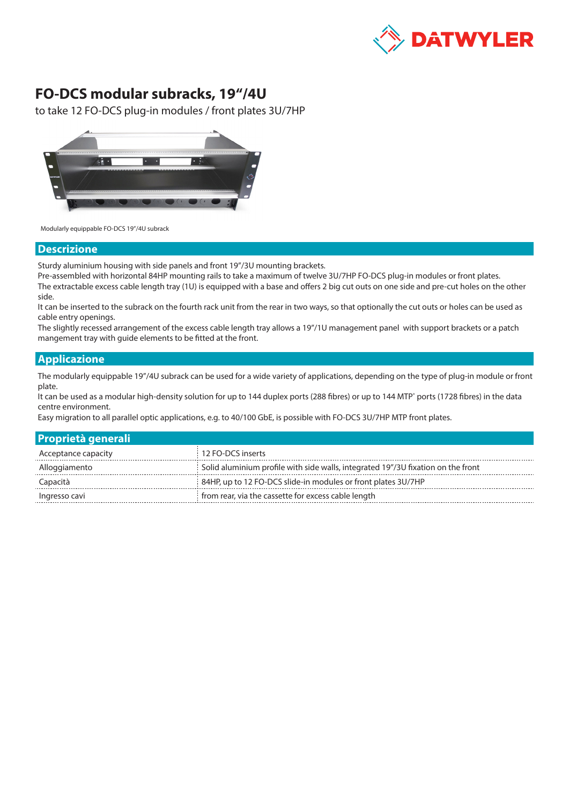

## **FO-DCS modular subracks, 19"/4U**

to take 12 FO-DCS plug-in modules / front plates 3U/7HP



Modularly equippable FO-DCS 19"/4U subrack

## **Descrizione**

Sturdy aluminium housing with side panels and front 19"/3U mounting brackets.

Pre-assembled with horizontal 84HP mounting rails to take a maximum of twelve 3U/7HP FO-DCS plug-in modules or front plates. The extractable excess cable length tray (1U) is equipped with a base and offers 2 big cut outs on one side and pre-cut holes on the other side.

It can be inserted to the subrack on the fourth rack unit from the rear in two ways, so that optionally the cut outs or holes can be used as cable entry openings.

The slightly recessed arrangement of the excess cable length tray allows a 19"/1U management panel with support brackets or a patch mangement tray with guide elements to be fitted at the front.

## **Applicazione**

The modularly equippable 19"/4U subrack can be used for a wide variety of applications, depending on the type of plug-in module or front plate.

It can be used as a modular high-density solution for up to 144 duplex ports (288 fibres) or up to 144 MTP<sup>®</sup> ports (1728 fibres) in the data centre environment.

Easy migration to all parallel optic applications, e.g. to 40/100 GbE, is possible with FO-DCS 3U/7HP MTP front plates.

| <b>Proprietà generali</b> |                                                                                  |
|---------------------------|----------------------------------------------------------------------------------|
| Acceptance capacity       | 12 FO-DCS inserts                                                                |
| Alloggiamento             | Solid aluminium profile with side walls, integrated 19"/3U fixation on the front |
| Capacità                  | 84HP, up to 12 FO-DCS slide-in modules or front plates 3U/7HP                    |
| Ingresso cavi             | from rear, via the cassette for excess cable length                              |